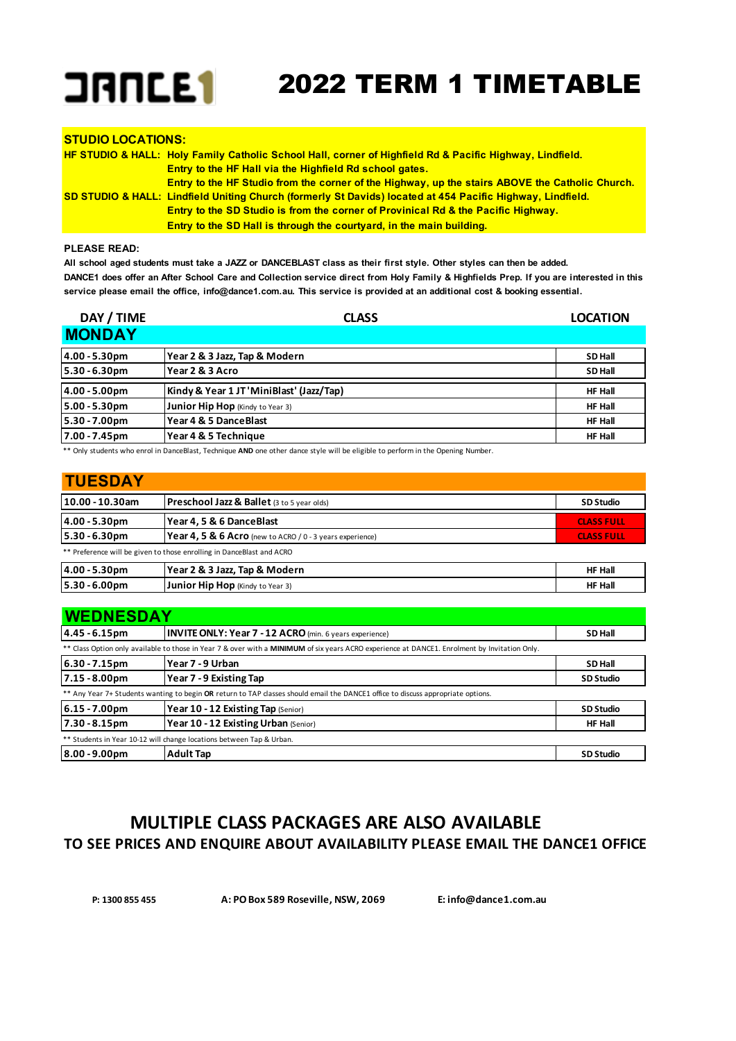

| <b>STUDIO LOCATIONS:</b> |                                                                                                                         |
|--------------------------|-------------------------------------------------------------------------------------------------------------------------|
|                          | <b>HF STUDIO &amp; HALL: Holy Family Catholic School Hall, corner of Highfield Rd &amp; Pacific Highway, Lindfield.</b> |
|                          | <b>Entry to the HF Hall via the Highfield Rd school gates.</b>                                                          |
|                          | Entry to the HF Studio from the corner of the Highway, up the stairs ABOVE the Catholic Church.                         |
|                          | SD STUDIO & HALL: Lindfield Uniting Church (formerly St Davids) located at 454 Pacific Highway, Lindfield.              |
|                          | <b>Entry to the SD Studio is from the corner of Provinical Rd &amp; the Pacific Highway.</b>                            |
|                          | <b>Entry to the SD Hall is through the courtyard, in the main building.</b>                                             |

### **PLEASE READ:**

**All school aged students must take a JAZZ or DANCEBLAST class as their first style. Other styles can then be added. DANCE1 does offer an After School Care and Collection service direct from Holy Family & Highfields Prep. If you are interested in this service please email the office, info@dance1.com.au. This service is provided at an additional cost & booking essential.**

| DAY / TIME    | <b>CLASS</b>                             | <b>LOCATION</b> |
|---------------|------------------------------------------|-----------------|
| <b>MONDAY</b> |                                          |                 |
| 4.00 - 5.30pm | Year 2 & 3 Jazz, Tap & Modern            | <b>SD Hall</b>  |
| 5.30 - 6.30pm | Year 2 & 3 Acro                          | <b>SD Hall</b>  |
| 4.00 - 5.00pm | Kindy & Year 1 JT 'MiniBlast' (Jazz/Tap) | <b>HF Hall</b>  |
| 5.00 - 5.30pm | Junior Hip Hop (Kindy to Year 3)         | <b>HF Hall</b>  |
| 5.30 - 7.00pm | Year 4 & 5 DanceBlast                    | <b>HF Hall</b>  |
| 7.00 - 7.45pm | Year 4 & 5 Technique                     | <b>HF Hall</b>  |

\*\* Only students who enrol in DanceBlast, Technique **AND** one other dance style will be eligible to perform in the Opening Number.

| <b>TUESDAY</b>               |                                                                       |                   |  |  |
|------------------------------|-----------------------------------------------------------------------|-------------------|--|--|
| 10.00 - 10.30am              | <b>Preschool Jazz &amp; Ballet (3 to 5 year olds)</b>                 |                   |  |  |
| 4.00 - 5.30pm                | Year 4, 5 & 6 Dance Blast                                             | <b>CLASS FULL</b> |  |  |
| $5.30 - 6.30$ pm             | <b>Year 4.5 &amp; 6 Acro</b> (new to ACRO / $0 - 3$ years experience) | <b>CLASS FULL</b> |  |  |
|                              | ** Preference will be given to those enrolling in DanceBlast and ACRO |                   |  |  |
| 4.00 - 5.30pm                | Year 2 & 3 Jazz, Tap & Modern                                         | <b>HF Hall</b>    |  |  |
| $5.30 - 6.00$ pm             | Junior Hip Hop (Kindy to Year 3)                                      | <b>HF Hall</b>    |  |  |
| <b><i>UNITERSITAR AM</i></b> |                                                                       |                   |  |  |

| <b>WEDNESDAY</b> |                                                                                                                                               |                  |  |
|------------------|-----------------------------------------------------------------------------------------------------------------------------------------------|------------------|--|
| 4.45 - 6.15pm    | <b>INVITE ONLY: Year 7 - 12 ACRO</b> (min. 6 years experience)                                                                                | <b>SD Hall</b>   |  |
|                  | ** Class Option only available to those in Year 7 & over with a MINIMUM of six years ACRO experience at DANCE1. Enrolment by Invitation Only. |                  |  |
| $6.30 - 7.15$ pm | Year 7 - 9 Urban                                                                                                                              | <b>SD Hall</b>   |  |
| $7.15 - 8.00pm$  | Year 7 - 9 Existing Tap                                                                                                                       | <b>SD Studio</b> |  |
|                  | ** Any Year 7+ Students wanting to begin OR return to TAP classes should email the DANCE1 office to discuss appropriate options.              |                  |  |
| 6.15 - 7.00pm    | Year 10 - 12 Existing Tap (Senior)                                                                                                            | <b>SD Studio</b> |  |
| 7.30 - 8.15pm    | Year 10 - 12 Existing Urban (Senior)                                                                                                          | <b>HF Hall</b>   |  |
|                  | ** Students in Year 10-12 will change locations between Tap & Urban.                                                                          |                  |  |
| $8.00 - 9.00$ pm | <b>Adult Tap</b>                                                                                                                              | <b>SD Studio</b> |  |

## **MULTIPLE CLASS PACKAGES ARE ALSO AVAILABLE TO SEE PRICES AND ENQUIRE ABOUT AVAILABILITY PLEASE EMAIL THE DANCE1 OFFICE.**

 **P: 1300 855 455 A: PO Box 589 Roseville, NSW, 2069 E: info@dance1.com.au**